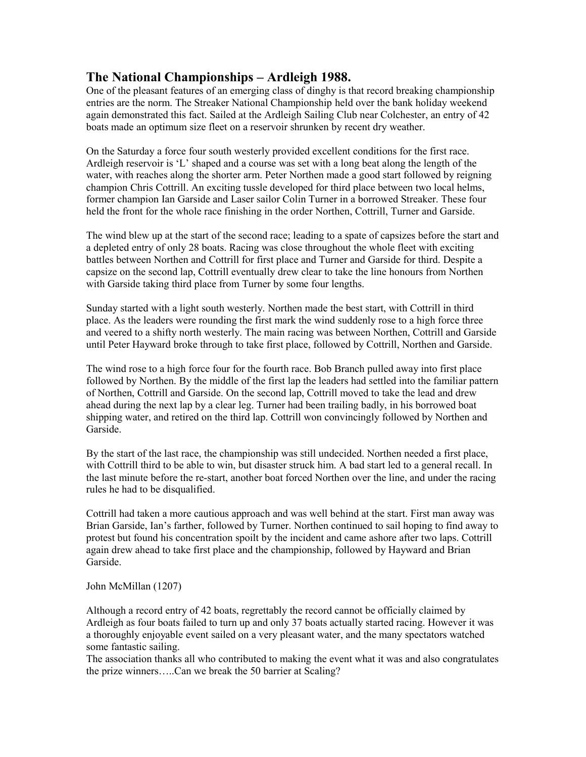## **The National Championships – Ardleigh 1988.**

One of the pleasant features of an emerging class of dinghy is that record breaking championship entries are the norm. The Streaker National Championship held over the bank holiday weekend again demonstrated this fact. Sailed at the Ardleigh Sailing Club near Colchester, an entry of 42 boats made an optimum size fleet on a reservoir shrunken by recent dry weather.

On the Saturday a force four south westerly provided excellent conditions for the first race. Ardleigh reservoir is 'L' shaped and a course was set with a long beat along the length of the water, with reaches along the shorter arm. Peter Northen made a good start followed by reigning champion Chris Cottrill. An exciting tussle developed for third place between two local helms, former champion Ian Garside and Laser sailor Colin Turner in a borrowed Streaker. These four held the front for the whole race finishing in the order Northen, Cottrill, Turner and Garside.

The wind blew up at the start of the second race; leading to a spate of capsizes before the start and a depleted entry of only 28 boats. Racing was close throughout the whole fleet with exciting battles between Northen and Cottrill for first place and Turner and Garside for third. Despite a capsize on the second lap, Cottrill eventually drew clear to take the line honours from Northen with Garside taking third place from Turner by some four lengths.

Sunday started with a light south westerly. Northen made the best start, with Cottrill in third place. As the leaders were rounding the first mark the wind suddenly rose to a high force three and veered to a shifty north westerly. The main racing was between Northen, Cottrill and Garside until Peter Hayward broke through to take first place, followed by Cottrill, Northen and Garside.

The wind rose to a high force four for the fourth race. Bob Branch pulled away into first place followed by Northen. By the middle of the first lap the leaders had settled into the familiar pattern of Northen, Cottrill and Garside. On the second lap, Cottrill moved to take the lead and drew ahead during the next lap by a clear leg. Turner had been trailing badly, in his borrowed boat shipping water, and retired on the third lap. Cottrill won convincingly followed by Northen and Garside.

By the start of the last race, the championship was still undecided. Northen needed a first place, with Cottrill third to be able to win, but disaster struck him. A bad start led to a general recall. In the last minute before the re-start, another boat forced Northen over the line, and under the racing rules he had to be disqualified.

Cottrill had taken a more cautious approach and was well behind at the start. First man away was Brian Garside, Ian's farther, followed by Turner. Northen continued to sail hoping to find away to protest but found his concentration spoilt by the incident and came ashore after two laps. Cottrill again drew ahead to take first place and the championship, followed by Hayward and Brian Garside.

## John McMillan (1207)

Although a record entry of 42 boats, regrettably the record cannot be officially claimed by Ardleigh as four boats failed to turn up and only 37 boats actually started racing. However it was a thoroughly enjoyable event sailed on a very pleasant water, and the many spectators watched some fantastic sailing.

The association thanks all who contributed to making the event what it was and also congratulates the prize winners…..Can we break the 50 barrier at Scaling?